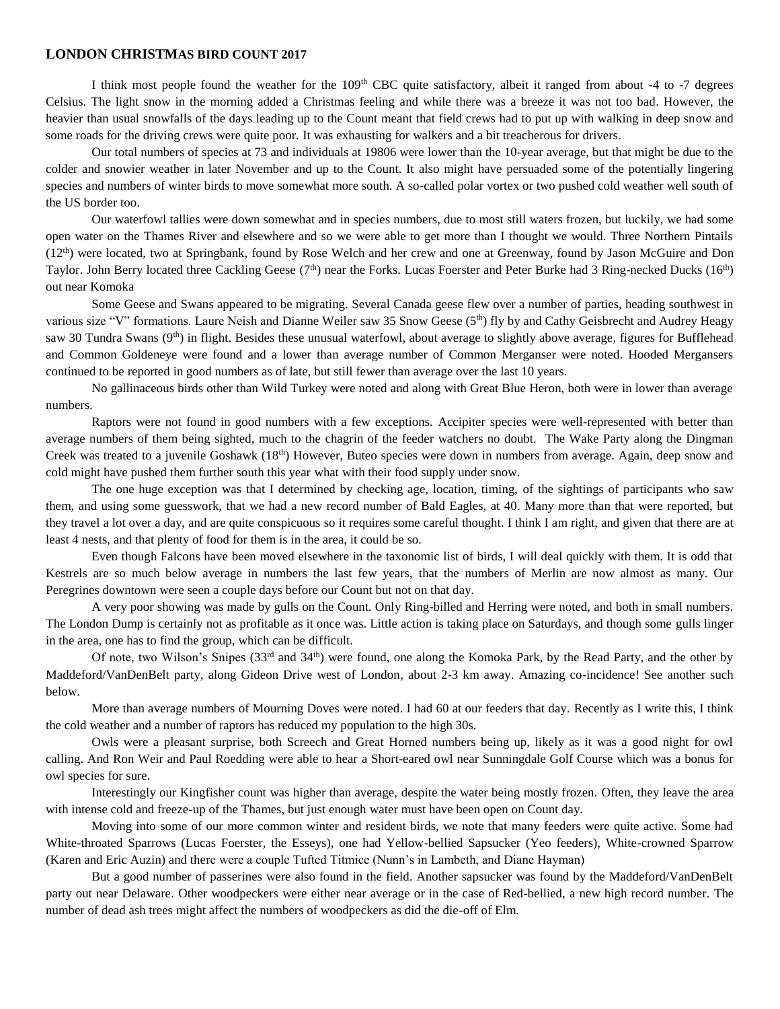## **LONDON CHRISTMAS BIRD COUNT 2017**

I think most people found the weather for the  $109<sup>th</sup>$  CBC quite satisfactory, albeit it ranged from about -4 to -7 degrees Celsius. The light snow in the morning added a Christmas feeling and while there was a breeze it was not too bad. However, the heavier than usual snowfalls of the days leading up to the Count meant that field crews had to put up with walking in deep snow and some roads for the driving crews were quite poor. It was exhausting for walkers and a bit treacherous for drivers.

Our total numbers of species at 73 and individuals at 19806 were lower than the 10-year average, but that might be due to the colder and snowier weather in later November and up to the Count. It also might have persuaded some of the potentially lingering species and numbers of winter birds to move somewhat more south. A so-called polar vortex or two pushed cold weather well south of the US border too.

Our waterfowl tallies were down somewhat and in species numbers, due to most still waters frozen, but luckily, we had some open water on the Thames River and elsewhere and so we were able to get more than I thought we would. Three Northern Pintails  $(12<sup>th</sup>)$  were located, two at Springbank, found by Rose Welch and her crew and one at Greenway, found by Jason McGuire and Don Taylor. John Berry located three Cackling Geese (7<sup>th</sup>) near the Forks. Lucas Foerster and Peter Burke had 3 Ring-necked Ducks (16<sup>th</sup>) out near Komoka

Some Geese and Swans appeared to be migrating. Several Canada geese flew over a number of parties, heading southwest in various size "V" formations. Laure Neish and Dianne Weiler saw 35 Snow Geese (5<sup>th</sup>) fly by and Cathy Geisbrecht and Audrey Heagy saw 30 Tundra Swans (9<sup>th</sup>) in flight. Besides these unusual waterfowl, about average to slightly above average, figures for Bufflehead and Common Goldeneye were found and a lower than average number of Common Merganser were noted. Hooded Mergansers continued to be reported in good numbers as of late, but still fewer than average over the last 10 years.

No gallinaceous birds other than Wild Turkey were noted and along with Great Blue Heron, both were in lower than average numbers.

Raptors were not found in good numbers with a few exceptions. Accipiter species were well-represented with better than average numbers of them being sighted, much to the chagrin of the feeder watchers no doubt. The Wake Party along the Dingman Creek was treated to a juvenile Goshawk  $(18<sup>th</sup>)$  However, Buteo species were down in numbers from average. Again, deep snow and cold might have pushed them further south this year what with their food supply under snow.

The one huge exception was that I determined by checking age, location, timing, of the sightings of participants who saw them, and using some guesswork, that we had a new record number of Bald Eagles, at 40. Many more than that were reported, but they travel a lot over a day, and are quite conspicuous so it requires some careful thought. I think I am right, and given that there are at least 4 nests, and that plenty of food for them is in the area, it could be so.

Even though Falcons have been moved elsewhere in the taxonomic list of birds, I will deal quickly with them. It is odd that Kestrels are so much below average in numbers the last few years, that the numbers of Merlin are now almost as many. Our Peregrines downtown were seen a couple days before our Count but not on that day.

A very poor showing was made by gulls on the Count. Only Ring-billed and Herring were noted, and both in small numbers. The London Dump is certainly not as profitable as it once was. Little action is taking place on Saturdays, and though some gulls linger in the area, one has to find the group, which can be difficult.

Of note, two Wilson's Snipes  $(33<sup>rd</sup>$  and  $34<sup>th</sup>$ ) were found, one along the Komoka Park, by the Read Party, and the other by Maddeford/VanDenBelt party, along Gideon Drive west of London, about 2-3 km away. Amazing co-incidence! See another such below.

More than average numbers of Mourning Doves were noted. I had 60 at our feeders that day. Recently as I write this, I think the cold weather and a number of raptors has reduced my population to the high 30s.

Owls were a pleasant surprise, both Screech and Great Horned numbers being up, likely as it was a good night for owl calling. And Ron Weir and Paul Roedding were able to hear a Short-eared owl near Sunningdale Golf Course which was a bonus for owl species for sure.

Interestingly our Kingfisher count was higher than average, despite the water being mostly frozen. Often, they leave the area with intense cold and freeze-up of the Thames, but just enough water must have been open on Count day.

Moving into some of our more common winter and resident birds, we note that many feeders were quite active. Some had White-throated Sparrows (Lucas Foerster, the Esseys), one had Yellow-bellied Sapsucker (Yeo feeders), White-crowned Sparrow (Karen and Eric Auzin) and there were a couple Tufted Titmice (Nunn's in Lambeth, and Diane Hayman)

But a good number of passerines were also found in the field. Another sapsucker was found by the Maddeford/VanDenBelt party out near Delaware. Other woodpeckers were either near average or in the case of Red-bellied, a new high record number. The number of dead ash trees might affect the numbers of woodpeckers as did the die-off of Elm.